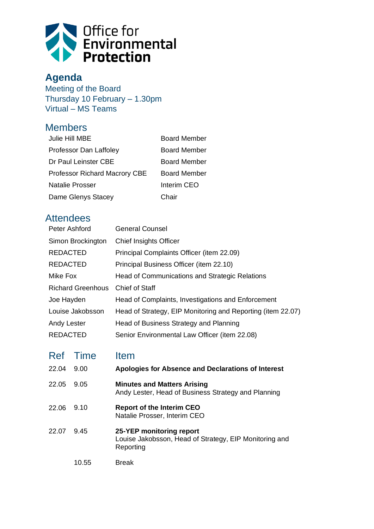

## **Agenda**

Meeting of the Board Thursday 10 February – 1.30pm Virtual – MS Teams

## **Members**

| Julie Hill MBE                       | <b>Board Member</b> |
|--------------------------------------|---------------------|
| Professor Dan Laffoley               | <b>Board Member</b> |
| Dr Paul Leinster CBE                 | <b>Board Member</b> |
| <b>Professor Richard Macrory CBE</b> | Board Member        |
| Natalie Prosser                      | Interim CEO         |
| Dame Glenys Stacey                   | Chair               |

## **Attendees**

| Peter Ashford            | <b>General Counsel</b>                                      |
|--------------------------|-------------------------------------------------------------|
| Simon Brockington        | <b>Chief Insights Officer</b>                               |
| <b>REDACTED</b>          | Principal Complaints Officer (item 22.09)                   |
| <b>REDACTED</b>          | Principal Business Officer (item 22.10)                     |
| Mike Fox                 | Head of Communications and Strategic Relations              |
| <b>Richard Greenhous</b> | Chief of Staff                                              |
| Joe Hayden               | Head of Complaints, Investigations and Enforcement          |
| Louise Jakobsson         | Head of Strategy, EIP Monitoring and Reporting (item 22.07) |
| Andy Lester              | Head of Business Strategy and Planning                      |
| <b>REDACTED</b>          | Senior Environmental Law Officer (item 22.08)               |
|                          |                                                             |

| <b>Ref</b> | Time  | <b>Item</b>                                                                                     |
|------------|-------|-------------------------------------------------------------------------------------------------|
| 22.04      | 9.00  | Apologies for Absence and Declarations of Interest                                              |
| 22.05      | 9.05  | <b>Minutes and Matters Arising</b><br>Andy Lester, Head of Business Strategy and Planning       |
| 22.06      | 9.10  | <b>Report of the Interim CEO</b><br>Natalie Prosser, Interim CEO                                |
| 22.07      | 9.45  | 25-YEP monitoring report<br>Louise Jakobsson, Head of Strategy, EIP Monitoring and<br>Reporting |
|            | 10.55 | <b>Break</b>                                                                                    |